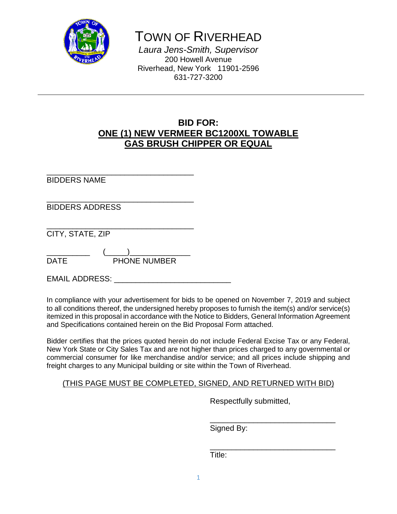

TOWN OF RIVERHEAD

*Laura Jens-Smith, Supervisor* 200 Howell Avenue Riverhead, New York 11901-2596 631-727-3200

# **BID FOR: ONE (1) NEW VERMEER BC1200XL TOWABLE GAS BRUSH CHIPPER OR EQUAL**

\_\_\_\_\_\_\_\_\_\_\_\_\_\_\_\_\_\_\_\_\_\_\_\_\_\_\_\_\_\_\_\_\_\_ BIDDERS NAME

\_\_\_\_\_\_\_\_\_\_\_\_\_\_\_\_\_\_\_\_\_\_\_\_\_\_\_\_\_\_\_\_\_\_ BIDDERS ADDRESS

\_\_\_\_\_\_\_\_\_\_\_\_\_\_\_\_\_\_\_\_\_\_\_\_\_\_\_\_\_\_\_\_\_\_ CITY, STATE, ZIP

\_\_\_\_\_\_\_\_\_\_ (\_\_\_\_\_)\_\_\_\_\_\_\_\_\_\_\_\_\_\_ DATE PHONE NUMBER

EMAIL ADDRESS:

In compliance with your advertisement for bids to be opened on November 7, 2019 and subject to all conditions thereof, the undersigned hereby proposes to furnish the item(s) and/or service(s) itemized in this proposal in accordance with the Notice to Bidders, General Information Agreement and Specifications contained herein on the Bid Proposal Form attached.

Bidder certifies that the prices quoted herein do not include Federal Excise Tax or any Federal, New York State or City Sales Tax and are not higher than prices charged to any governmental or commercial consumer for like merchandise and/or service; and all prices include shipping and freight charges to any Municipal building or site within the Town of Riverhead.

# (THIS PAGE MUST BE COMPLETED, SIGNED, AND RETURNED WITH BID)

Respectfully submitted,

\_\_\_\_\_\_\_\_\_\_\_\_\_\_\_\_\_\_\_\_\_\_\_\_\_\_\_\_\_ Signed By:

\_\_\_\_\_\_\_\_\_\_\_\_\_\_\_\_\_\_\_\_\_\_\_\_\_\_\_\_\_ Title: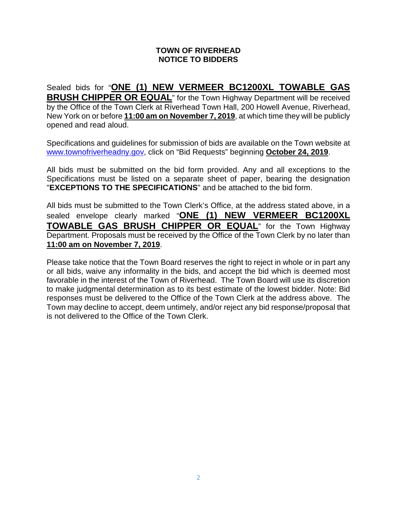# **TOWN OF RIVERHEAD NOTICE TO BIDDERS**

Sealed bids for "**ONE (1) NEW VERMEER BC1200XL TOWABLE GAS BRUSH CHIPPER OR EQUAL**" for the Town Highway Department will be received by the Office of the Town Clerk at Riverhead Town Hall, 200 Howell Avenue, Riverhead, New York on or before **11:00 am on November 7, 2019**, at which time they will be publicly opened and read aloud.

Specifications and guidelines for submission of bids are available on the Town website at [www.townofriverheadny.gov,](http://www.townofriverheadny.gov/) click on "Bid Requests" beginning **October 24, 2019**.

All bids must be submitted on the bid form provided. Any and all exceptions to the Specifications must be listed on a separate sheet of paper, bearing the designation "**EXCEPTIONS TO THE SPECIFICATIONS**" and be attached to the bid form.

All bids must be submitted to the Town Clerk's Office, at the address stated above, in a sealed envelope clearly marked "**ONE (1) NEW VERMEER BC1200XL TOWABLE GAS BRUSH CHIPPER OR EQUAL**" for the Town Highway Department. Proposals must be received by the Office of the Town Clerk by no later than **11:00 am on November 7, 2019**.

Please take notice that the Town Board reserves the right to reject in whole or in part any or all bids, waive any informality in the bids, and accept the bid which is deemed most favorable in the interest of the Town of Riverhead. The Town Board will use its discretion to make judgmental determination as to its best estimate of the lowest bidder. Note: Bid responses must be delivered to the Office of the Town Clerk at the address above. The Town may decline to accept, deem untimely, and/or reject any bid response/proposal that is not delivered to the Office of the Town Clerk.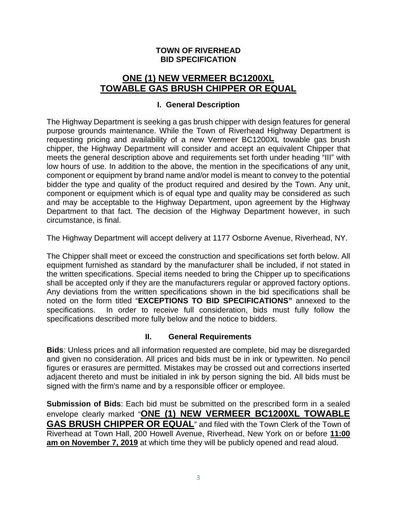# **TOWN OF RIVERHEAD BID SPECIFICATION**

# **ONE (1) NEW VERMEER BC1200XL TOWABLE GAS BRUSH CHIPPER OR EQUAL**

## **I. General Description**

The Highway Department is seeking a gas brush chipper with design features for general purpose grounds maintenance. While the Town of Riverhead Highway Department is requesting pricing and availability of a new Vermeer BC1200XL towable gas brush chipper, the Highway Department will consider and accept an equivalent Chipper that meets the general description above and requirements set forth under heading "III" with low hours of use. In addition to the above, the mention in the specifications of any unit, component or equipment by brand name and/or model is meant to convey to the potential bidder the type and quality of the product required and desired by the Town. Any unit, component or equipment which is of equal type and quality may be considered as such and may be acceptable to the Highway Department, upon agreement by the Highway Department to that fact. The decision of the Highway Department however, in such circumstance, is final.

The Highway Department will accept delivery at 1177 Osborne Avenue, Riverhead, NY.

The Chipper shall meet or exceed the construction and specifications set forth below. All equipment furnished as standard by the manufacturer shall be included, if not stated in the written specifications. Special items needed to bring the Chipper up to specifications shall be accepted only if they are the manufacturers regular or approved factory options. Any deviations from the written specifications shown in the bid specifications shall be noted on the form titled "**EXCEPTIONS TO BID SPECIFICATIONS"** annexed to the specifications. In order to receive full consideration, bids must fully follow the specifications described more fully below and the notice to bidders.

# **II. General Requirements**

**Bids**: Unless prices and all information requested are complete, bid may be disregarded and given no consideration. All prices and bids must be in ink or typewritten. No pencil figures or erasures are permitted. Mistakes may be crossed out and corrections inserted adjacent thereto and must be initialed in ink by person signing the bid. All bids must be signed with the firm's name and by a responsible officer or employee.

**Submission of Bids**: Each bid must be submitted on the prescribed form in a sealed envelope clearly marked "**ONE (1) NEW VERMEER BC1200XL TOWABLE GAS BRUSH CHIPPER OR EQUAL**" and filed with the Town Clerk of the Town of Riverhead at Town Hall, 200 Howell Avenue, Riverhead, New York on or before **11:00 am on November 7, 2019** at which time they will be publicly opened and read aloud.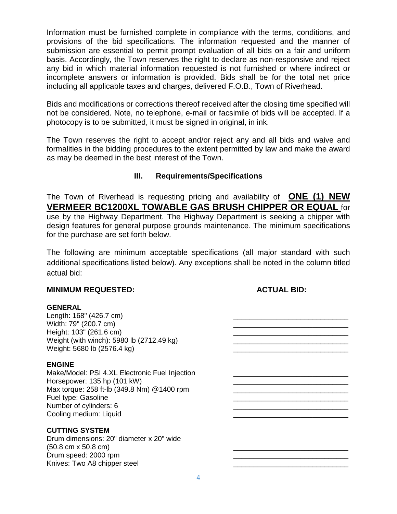Information must be furnished complete in compliance with the terms, conditions, and provisions of the bid specifications. The information requested and the manner of submission are essential to permit prompt evaluation of all bids on a fair and uniform basis. Accordingly, the Town reserves the right to declare as non-responsive and reject any bid in which material information requested is not furnished or where indirect or incomplete answers or information is provided. Bids shall be for the total net price including all applicable taxes and charges, delivered F.O.B., Town of Riverhead.

Bids and modifications or corrections thereof received after the closing time specified will not be considered. Note, no telephone, e-mail or facsimile of bids will be accepted. If a photocopy is to be submitted, it must be signed in original, in ink.

The Town reserves the right to accept and/or reject any and all bids and waive and formalities in the bidding procedures to the extent permitted by law and make the award as may be deemed in the best interest of the Town.

# **III. Requirements/Specifications**

The Town of Riverhead is requesting pricing and availability of **ONE (1) NEW VERMEER BC1200XL TOWABLE GAS BRUSH CHIPPER OR EQUAL** for use by the Highway Department. The Highway Department is seeking a chipper with design features for general purpose grounds maintenance. The minimum specifications for the purchase are set forth below.

The following are minimum acceptable specifications (all major standard with such additional specifications listed below). Any exceptions shall be noted in the column titled actual bid:

#### **MINIMUM REQUESTED: ACTUAL BID:**

#### **GENERAL**

Length: 168" (426.7 cm)<br>Width: 79" (200.7 cm) Width: 79" (200.7 cm)<br>Height: 103" (261.6 cm) Weight (with winch): 5980 lb  $(2712.49 \text{ kg})$ Weight: 5680 lb (2576.4 kg)

#### **ENGINE**

Make/Model: PSI 4.XL Electronic Fuel Injection Horsepower: 135 hp (101 kW) Max torque: 258 ft-lb (349.8 Nm) @1400 rpm Fuel type: Gasoline Number of cylinders: 6 Cooling medium: Liquid

#### **CUTTING SYSTEM**

Drum dimensions: 20" diameter x 20" wide  $(50.8 \text{ cm} \times 50.8 \text{ cm})$ Drum speed: 2000 rpm Knives: Two A8 chipper steel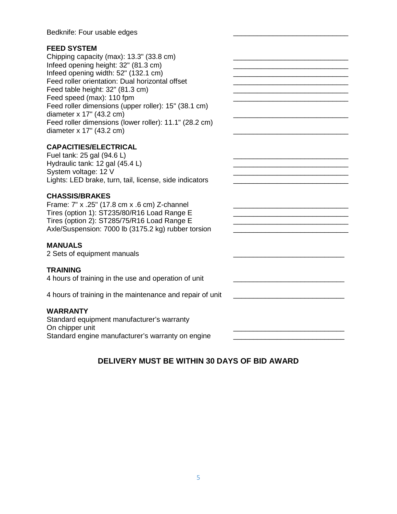Bedknife: Four usable edges

### **FEED SYSTEM**

Chipping capacity (max): 13.3" (33.8 cm) Infeed opening height: 32" (81.3 cm) Infeed opening width:  $52"$  (132.1 cm) Feed roller orientation: Dual horizontal offset **EXACCON EXACCONDUM** Feed table height: 32" (81.3 cm) Feed speed (max): 110 fpm Feed roller dimensions (upper roller): 15" (38.1 cm) diameter  $x$  17" (43.2 cm) Feed roller dimensions (lower roller): 11.1" (28.2 cm) diameter  $x$  17" (43.2 cm)

### **CAPACITIES/ELECTRICAL**

Fuel tank:  $25$  gal (94.6 L) Hydraulic tank: 12 gal (45.4 L) \_\_\_\_\_\_\_\_\_\_\_\_\_\_\_\_\_\_\_\_\_\_\_\_\_\_\_\_\_ System voltage: 12 V Lights: LED brake, turn, tail, license, side indicators **with a set of the set of the set of the set of the set o** 

### **CHASSIS/BRAKES**

Frame: 7" x .25" (17.8 cm x .6 cm) Z-channel Tires (option 1): ST235/80/R16 Load Range E \_\_\_\_\_\_\_\_\_\_\_\_\_\_\_\_\_\_\_\_\_\_\_\_\_\_\_\_\_ Tires (option 2): ST285/75/R16 Load Range E \_\_\_\_\_\_\_\_\_\_\_\_\_\_\_\_\_\_\_\_\_\_\_\_\_\_\_\_\_ Axle/Suspension: 7000 lb (3175.2 kg) rubber torsion

#### **MANUALS**

2 Sets of equipment manuals

#### **TRAINING**

4 hours of training in the use and operation of unit

4 hours of training in the maintenance and repair of unit

### **WARRANTY**

Standard equipment manufacturer's warranty On chipper unit Standard engine manufacturer's warranty on engine

# **DELIVERY MUST BE WITHIN 30 DAYS OF BID AWARD**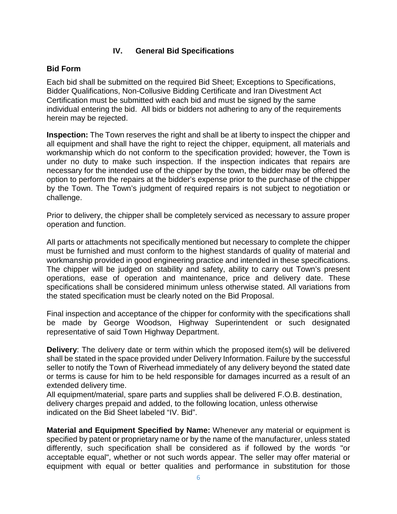# **IV. General Bid Specifications**

# **Bid Form**

Each bid shall be submitted on the required Bid Sheet; Exceptions to Specifications, Bidder Qualifications, Non-Collusive Bidding Certificate and Iran Divestment Act Certification must be submitted with each bid and must be signed by the same individual entering the bid. All bids or bidders not adhering to any of the requirements herein may be rejected.

**Inspection:** The Town reserves the right and shall be at liberty to inspect the chipper and all equipment and shall have the right to reject the chipper, equipment, all materials and workmanship which do not conform to the specification provided; however, the Town is under no duty to make such inspection. If the inspection indicates that repairs are necessary for the intended use of the chipper by the town, the bidder may be offered the option to perform the repairs at the bidder's expense prior to the purchase of the chipper by the Town. The Town's judgment of required repairs is not subject to negotiation or challenge.

Prior to delivery, the chipper shall be completely serviced as necessary to assure proper operation and function.

All parts or attachments not specifically mentioned but necessary to complete the chipper must be furnished and must conform to the highest standards of quality of material and workmanship provided in good engineering practice and intended in these specifications. The chipper will be judged on stability and safety, ability to carry out Town's present operations, ease of operation and maintenance, price and delivery date. These specifications shall be considered minimum unless otherwise stated. All variations from the stated specification must be clearly noted on the Bid Proposal.

Final inspection and acceptance of the chipper for conformity with the specifications shall be made by George Woodson, Highway Superintendent or such designated representative of said Town Highway Department.

**Delivery**: The delivery date or term within which the proposed item(s) will be delivered shall be stated in the space provided under Delivery Information. Failure by the successful seller to notify the Town of Riverhead immediately of any delivery beyond the stated date or terms is cause for him to be held responsible for damages incurred as a result of an extended delivery time.

All equipment/material, spare parts and supplies shall be delivered F.O.B. destination, delivery charges prepaid and added, to the following location, unless otherwise indicated on the Bid Sheet labeled "IV. Bid".

**Material and Equipment Specified by Name:** Whenever any material or equipment is specified by patent or proprietary name or by the name of the manufacturer, unless stated differently, such specification shall be considered as if followed by the words "or acceptable equal", whether or not such words appear. The seller may offer material or equipment with equal or better qualities and performance in substitution for those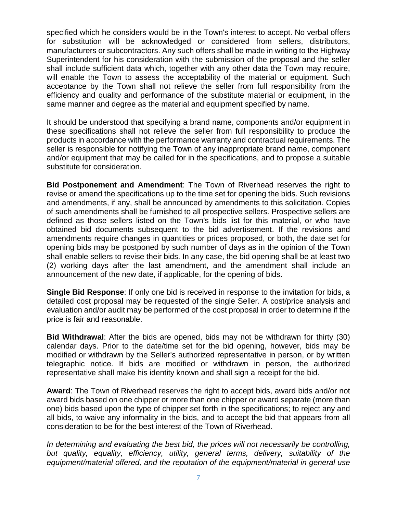specified which he considers would be in the Town's interest to accept. No verbal offers for substitution will be acknowledged or considered from sellers, distributors, manufacturers or subcontractors. Any such offers shall be made in writing to the Highway Superintendent for his consideration with the submission of the proposal and the seller shall include sufficient data which, together with any other data the Town may require, will enable the Town to assess the acceptability of the material or equipment. Such acceptance by the Town shall not relieve the seller from full responsibility from the efficiency and quality and performance of the substitute material or equipment, in the same manner and degree as the material and equipment specified by name.

It should be understood that specifying a brand name, components and/or equipment in these specifications shall not relieve the seller from full responsibility to produce the products in accordance with the performance warranty and contractual requirements. The seller is responsible for notifying the Town of any inappropriate brand name, component and/or equipment that may be called for in the specifications, and to propose a suitable substitute for consideration.

**Bid Postponement and Amendment**: The Town of Riverhead reserves the right to revise or amend the specifications up to the time set for opening the bids. Such revisions and amendments, if any, shall be announced by amendments to this solicitation. Copies of such amendments shall be furnished to all prospective sellers. Prospective sellers are defined as those sellers listed on the Town's bids list for this material, or who have obtained bid documents subsequent to the bid advertisement. If the revisions and amendments require changes in quantities or prices proposed, or both, the date set for opening bids may be postponed by such number of days as in the opinion of the Town shall enable sellers to revise their bids. In any case, the bid opening shall be at least two (2) working days after the last amendment, and the amendment shall include an announcement of the new date, if applicable, for the opening of bids.

**Single Bid Response**: If only one bid is received in response to the invitation for bids, a detailed cost proposal may be requested of the single Seller. A cost/price analysis and evaluation and/or audit may be performed of the cost proposal in order to determine if the price is fair and reasonable.

**Bid Withdrawal**: After the bids are opened, bids may not be withdrawn for thirty (30) calendar days. Prior to the date/time set for the bid opening, however, bids may be modified or withdrawn by the Seller's authorized representative in person, or by written telegraphic notice. If bids are modified or withdrawn in person, the authorized representative shall make his identity known and shall sign a receipt for the bid.

**Award**: The Town of Riverhead reserves the right to accept bids, award bids and/or not award bids based on one chipper or more than one chipper or award separate (more than one) bids based upon the type of chipper set forth in the specifications; to reject any and all bids, to waive any informality in the bids, and to accept the bid that appears from all consideration to be for the best interest of the Town of Riverhead.

*In determining and evaluating the best bid, the prices will not necessarily be controlling, but quality, equality, efficiency, utility, general terms, delivery, suitability of the equipment/material offered, and the reputation of the equipment/material in general use*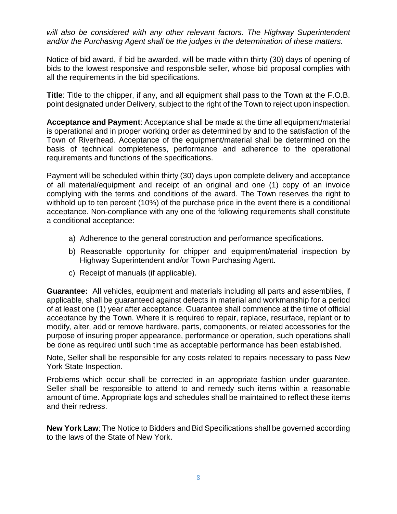*will also be considered with any other relevant factors. The Highway Superintendent and/or the Purchasing Agent shall be the judges in the determination of these matters.* 

Notice of bid award, if bid be awarded, will be made within thirty (30) days of opening of bids to the lowest responsive and responsible seller, whose bid proposal complies with all the requirements in the bid specifications.

**Title**: Title to the chipper, if any, and all equipment shall pass to the Town at the F.O.B. point designated under Delivery, subject to the right of the Town to reject upon inspection.

**Acceptance and Payment**: Acceptance shall be made at the time all equipment/material is operational and in proper working order as determined by and to the satisfaction of the Town of Riverhead. Acceptance of the equipment/material shall be determined on the basis of technical completeness, performance and adherence to the operational requirements and functions of the specifications.

Payment will be scheduled within thirty (30) days upon complete delivery and acceptance of all material/equipment and receipt of an original and one (1) copy of an invoice complying with the terms and conditions of the award. The Town reserves the right to withhold up to ten percent (10%) of the purchase price in the event there is a conditional acceptance. Non-compliance with any one of the following requirements shall constitute a conditional acceptance:

- a) Adherence to the general construction and performance specifications.
- b) Reasonable opportunity for chipper and equipment/material inspection by Highway Superintendent and/or Town Purchasing Agent.
- c) Receipt of manuals (if applicable).

**Guarantee:** All vehicles, equipment and materials including all parts and assemblies, if applicable, shall be guaranteed against defects in material and workmanship for a period of at least one (1) year after acceptance. Guarantee shall commence at the time of official acceptance by the Town. Where it is required to repair, replace, resurface, replant or to modify, alter, add or remove hardware, parts, components, or related accessories for the purpose of insuring proper appearance, performance or operation, such operations shall be done as required until such time as acceptable performance has been established.

Note, Seller shall be responsible for any costs related to repairs necessary to pass New York State Inspection.

Problems which occur shall be corrected in an appropriate fashion under guarantee. Seller shall be responsible to attend to and remedy such items within a reasonable amount of time. Appropriate logs and schedules shall be maintained to reflect these items and their redress.

**New York Law**: The Notice to Bidders and Bid Specifications shall be governed according to the laws of the State of New York.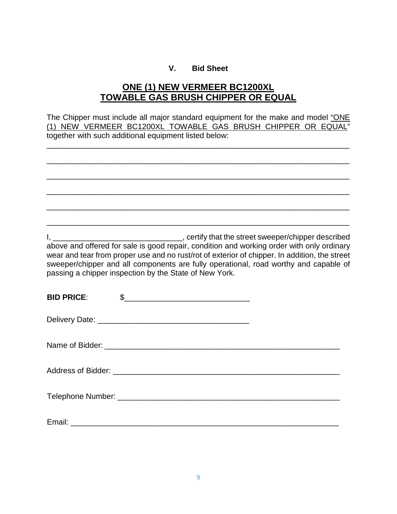# **V. Bid Sheet**

# **ONE (1) NEW VERMEER BC1200XL TOWABLE GAS BRUSH CHIPPER OR EQUAL**

|                   | The Chipper must include all major standard equipment for the make and model "ONE<br>(1) NEW VERMEER BC1200XL TOWABLE GAS BRUSH CHIPPER OR EQUAL"<br>together with such additional equipment listed below:                                                                                                                                   |
|-------------------|----------------------------------------------------------------------------------------------------------------------------------------------------------------------------------------------------------------------------------------------------------------------------------------------------------------------------------------------|
|                   |                                                                                                                                                                                                                                                                                                                                              |
|                   |                                                                                                                                                                                                                                                                                                                                              |
|                   | above and offered for sale is good repair, condition and working order with only ordinary<br>wear and tear from proper use and no rust/rot of exterior of chipper. In addition, the street<br>sweeper/chipper and all components are fully operational, road worthy and capable of<br>passing a chipper inspection by the State of New York. |
| <b>BID PRICE:</b> | $\sim$                                                                                                                                                                                                                                                                                                                                       |
|                   |                                                                                                                                                                                                                                                                                                                                              |

Name of Bidder: \_\_\_\_\_\_\_\_\_\_\_\_\_\_\_\_\_\_\_\_\_\_\_\_\_\_\_\_\_\_\_\_\_\_\_\_\_\_\_\_\_\_\_\_\_\_\_\_\_\_\_\_\_\_

| <b>Address of Bidder:</b> |  |  |
|---------------------------|--|--|
|---------------------------|--|--|

| <b>Telephone Number:</b> |  |
|--------------------------|--|
|--------------------------|--|

| Email<br><u>Lucu</u> |
|----------------------|
|----------------------|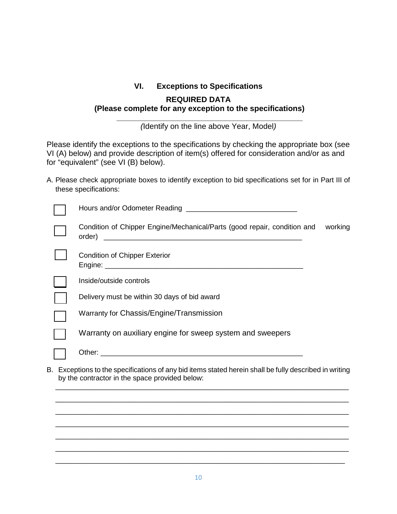# **VI. Exceptions to Specifications REQUIRED DATA (Please complete for any exception to the specifications)**

**\_\_\_\_\_\_\_\_\_\_\_\_\_\_\_\_\_\_\_\_\_\_\_\_\_\_\_\_\_\_\_\_\_\_\_\_\_\_\_\_\_\_\_** *(*Identify on the line above Year, Model*)*

Please identify the exceptions to the specifications by checking the appropriate box (see VI (A) below) and provide description of item(s) offered for consideration and/or as and for "equivalent" (see VI (B) below).

A. Please check appropriate boxes to identify exception to bid specifications set for in Part III of these specifications:

| Condition of Chipper Engine/Mechanical/Parts (good repair, condition and<br>order)<br><u> 2000 - Jan James James James James James James James James James James James James James James James James J</u> | working |
|------------------------------------------------------------------------------------------------------------------------------------------------------------------------------------------------------------|---------|
| <b>Condition of Chipper Exterior</b>                                                                                                                                                                       |         |
| Inside/outside controls                                                                                                                                                                                    |         |
| Delivery must be within 30 days of bid award                                                                                                                                                               |         |
| Warranty for Chassis/Engine/Transmission                                                                                                                                                                   |         |
| Warranty on auxiliary engine for sweep system and sweepers                                                                                                                                                 |         |
|                                                                                                                                                                                                            |         |
| B. Exceptions to the specifications of any bid items stated herein shall be fully described in writing<br>by the contractor in the space provided below:                                                   |         |

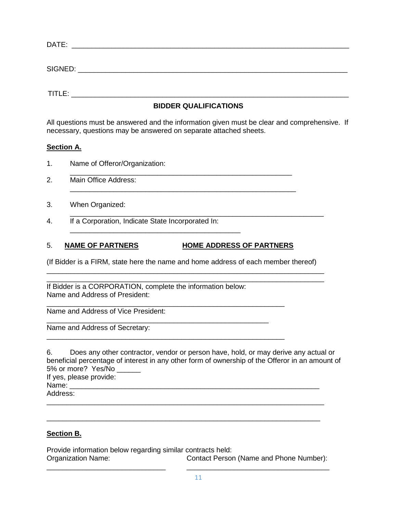| DATE:   |  |  |  |
|---------|--|--|--|
|         |  |  |  |
|         |  |  |  |
| SIGNED: |  |  |  |

 $\mathsf{TITEE:}\qquad \qquad \blacksquare$ 

### **BIDDER QUALIFICATIONS**

All questions must be answered and the information given must be clear and comprehensive. If necessary, questions may be answered on separate attached sheets.

### **Section A.**

- 1. Name of Offeror/Organization:
- \_\_\_\_\_\_\_\_\_\_\_\_\_\_\_\_\_\_\_\_\_\_\_\_\_\_\_\_\_\_\_\_\_\_\_\_\_\_\_\_\_\_\_\_\_\_\_\_\_\_\_\_\_\_\_\_ 2. Main Office Address:
- 3. When Organized:
- \_\_\_\_\_\_\_\_\_\_\_\_\_\_\_\_\_\_\_\_\_\_\_\_\_\_\_\_\_\_\_\_\_\_\_\_\_\_\_\_\_\_\_\_\_\_\_\_\_\_\_\_\_\_\_\_\_\_\_\_\_\_\_\_ 4. If a Corporation, Indicate State Incorporated In:

## 5. **NAME OF PARTNERS HOME ADDRESS OF PARTNERS**

\_\_\_\_\_\_\_\_\_\_\_\_\_\_\_\_\_\_\_\_\_\_\_\_\_\_\_\_\_\_\_\_\_\_\_\_\_\_\_\_\_\_\_\_\_\_\_\_\_\_\_\_\_\_\_\_\_\_\_\_

\_\_\_\_\_\_\_\_\_\_\_\_\_\_\_\_\_\_\_\_\_\_\_\_\_\_\_\_\_\_\_\_\_\_\_\_\_\_\_\_\_\_\_

(If Bidder is a FIRM, state here the name and home address of each member thereof) \_\_\_\_\_\_\_\_\_\_\_\_\_\_\_\_\_\_\_\_\_\_\_\_\_\_\_\_\_\_\_\_\_\_\_\_\_\_\_\_\_\_\_\_\_\_\_\_\_\_\_\_\_\_\_\_\_\_\_\_\_\_\_\_\_\_\_\_\_\_

\_\_\_\_\_\_\_\_\_\_\_\_\_\_\_\_\_\_\_\_\_\_\_\_\_\_\_\_\_\_\_\_\_\_\_\_\_\_\_\_\_\_\_\_\_\_\_\_\_\_\_\_\_\_\_\_\_

\_\_\_\_\_\_\_\_\_\_\_\_\_\_\_\_\_\_\_\_\_\_\_\_\_\_\_\_\_\_\_\_\_\_\_\_\_\_\_\_\_\_\_\_\_\_\_\_\_\_\_\_\_\_\_\_\_\_\_\_\_\_\_\_\_\_\_\_\_\_ If Bidder is a CORPORATION, complete the information below: Name and Address of President:

\_\_\_\_\_\_\_\_\_\_\_\_\_\_\_\_\_\_\_\_\_\_\_\_\_\_\_\_\_\_\_\_\_\_\_\_\_\_\_\_\_\_\_\_\_\_\_\_\_\_\_\_\_\_\_\_\_\_\_\_ Name and Address of Vice President:

\_\_\_\_\_\_\_\_\_\_\_\_\_\_\_\_\_\_\_\_\_\_\_\_\_\_\_\_\_\_\_\_\_\_\_\_\_\_\_\_\_\_\_\_\_\_\_\_\_\_\_\_\_\_\_\_ Name and Address of Secretary:

| 6.       | Does any other contractor, vendor or person have, hold, or may derive any actual or             |
|----------|-------------------------------------------------------------------------------------------------|
|          | beneficial percentage of interest in any other form of ownership of the Offeror in an amount of |
|          | 5% or more? Yes/No                                                                              |
|          | If yes, please provide:                                                                         |
| Name:    |                                                                                                 |
| Address: |                                                                                                 |
|          |                                                                                                 |

## **Section B.**

Provide information below regarding similar contracts held: Contact Person (Name and Phone Number): \_\_\_\_\_\_\_\_\_\_\_\_\_\_\_\_\_\_\_\_\_\_\_\_\_\_\_\_\_\_ \_\_\_\_\_\_\_\_\_\_\_\_\_\_\_\_\_\_\_\_\_\_\_\_\_\_\_\_\_\_\_\_\_\_\_\_

\_\_\_\_\_\_\_\_\_\_\_\_\_\_\_\_\_\_\_\_\_\_\_\_\_\_\_\_\_\_\_\_\_\_\_\_\_\_\_\_\_\_\_\_\_\_\_\_\_\_\_\_\_\_\_\_\_\_\_\_\_\_\_\_\_\_\_\_\_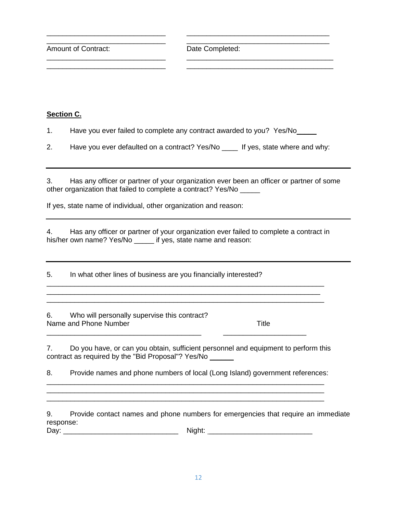\_\_\_\_\_\_\_\_\_\_\_\_\_\_\_\_\_\_\_\_\_\_\_\_\_\_\_\_\_\_ \_\_\_\_\_\_\_\_\_\_\_\_\_\_\_\_\_\_\_\_\_\_\_\_\_\_\_\_\_\_\_\_\_\_\_\_ Amount of Contract: Date Completed:

### **Section C.**

1. Have you ever failed to complete any contract awarded to you? Yes/No\_\_\_\_\_

2. Have you ever defaulted on a contract? Yes/No \_\_\_\_ If yes, state where and why:

\_\_\_\_\_\_\_\_\_\_\_\_\_\_\_\_\_\_\_\_\_\_\_\_\_\_\_\_\_\_ \_\_\_\_\_\_\_\_\_\_\_\_\_\_\_\_\_\_\_\_\_\_\_\_\_\_\_\_\_\_\_\_\_\_\_\_

\_\_\_\_\_\_\_\_\_\_\_\_\_\_\_\_\_\_\_\_\_\_\_\_\_\_\_\_\_\_ \_\_\_\_\_\_\_\_\_\_\_\_\_\_\_\_\_\_\_\_\_\_\_\_\_\_\_\_\_\_\_\_\_\_\_\_\_ \_\_\_\_\_\_\_\_\_\_\_\_\_\_\_\_\_\_\_\_\_\_\_\_\_\_\_\_\_\_ \_\_\_\_\_\_\_\_\_\_\_\_\_\_\_\_\_\_\_\_\_\_\_\_\_\_\_\_\_\_\_\_\_\_\_\_\_

3. Has any officer or partner of your organization ever been an officer or partner of some other organization that failed to complete a contract? Yes/No \_\_\_\_\_

If yes, state name of individual, other organization and reason:

4. Has any officer or partner of your organization ever failed to complete a contract in his/her own name? Yes/No \_\_\_\_\_ if yes, state name and reason:

\_\_\_\_\_\_\_\_\_\_\_\_\_\_\_\_\_\_\_\_\_\_\_\_\_\_\_\_\_\_\_\_\_\_\_\_\_\_\_\_\_\_\_\_\_\_\_\_\_\_\_\_\_\_\_\_\_\_\_\_\_\_\_\_\_\_\_\_\_\_ \_\_\_\_\_\_\_\_\_\_\_\_\_\_\_\_\_\_\_\_\_\_\_\_\_\_\_\_\_\_\_\_\_\_\_\_\_\_\_\_\_\_\_\_\_\_\_\_\_\_\_\_\_\_\_\_\_\_\_\_\_\_\_\_\_\_\_\_\_ \_\_\_\_\_\_\_\_\_\_\_\_\_\_\_\_\_\_\_\_\_\_\_\_\_\_\_\_\_\_\_\_\_\_\_\_\_\_\_\_\_\_\_\_\_\_\_\_\_\_\_\_\_\_\_\_\_\_\_\_\_\_\_\_\_\_\_\_\_\_

5. In what other lines of business are you financially interested?

6. Who will personally supervise this contract? Name and Phone Number Title

7. Do you have, or can you obtain, sufficient personnel and equipment to perform this contract as required by the "Bid Proposal"? Yes/No \_\_\_\_\_\_

\_\_\_\_\_\_\_\_\_\_\_\_\_\_\_\_\_\_\_\_\_\_\_\_\_\_\_\_\_\_\_\_\_\_\_\_\_\_\_ \_\_\_\_\_\_\_\_\_\_\_\_\_\_\_\_\_\_\_\_\_

8. Provide names and phone numbers of local (Long Island) government references: \_\_\_\_\_\_\_\_\_\_\_\_\_\_\_\_\_\_\_\_\_\_\_\_\_\_\_\_\_\_\_\_\_\_\_\_\_\_\_\_\_\_\_\_\_\_\_\_\_\_\_\_\_\_\_\_\_\_\_\_\_\_\_\_\_\_\_\_\_\_

\_\_\_\_\_\_\_\_\_\_\_\_\_\_\_\_\_\_\_\_\_\_\_\_\_\_\_\_\_\_\_\_\_\_\_\_\_\_\_\_\_\_\_\_\_\_\_\_\_\_\_\_\_\_\_\_\_\_\_\_\_\_\_\_\_\_\_\_\_\_ \_\_\_\_\_\_\_\_\_\_\_\_\_\_\_\_\_\_\_\_\_\_\_\_\_\_\_\_\_\_\_\_\_\_\_\_\_\_\_\_\_\_\_\_\_\_\_\_\_\_\_\_\_\_\_\_\_\_\_\_\_\_\_\_\_\_\_\_\_\_

9. Provide contact names and phone numbers for emergencies that require an immediate response:

Day: \_\_\_\_\_\_\_\_\_\_\_\_\_\_\_\_\_\_\_\_\_\_\_\_\_\_\_\_\_ Night: \_\_\_\_\_\_\_\_\_\_\_\_\_\_\_\_\_\_\_\_\_\_\_\_\_\_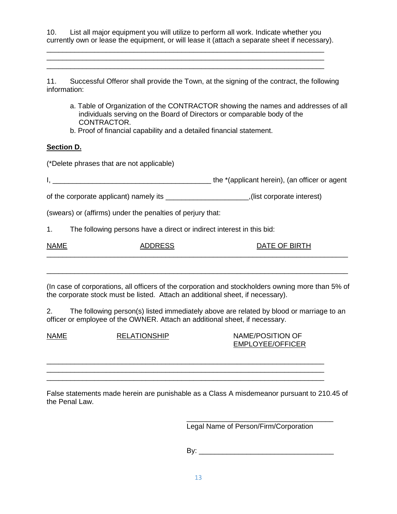10. List all major equipment you will utilize to perform all work. Indicate whether you currently own or lease the equipment, or will lease it (attach a separate sheet if necessary).

\_\_\_\_\_\_\_\_\_\_\_\_\_\_\_\_\_\_\_\_\_\_\_\_\_\_\_\_\_\_\_\_\_\_\_\_\_\_\_\_\_\_\_\_\_\_\_\_\_\_\_\_\_\_\_\_\_\_\_\_\_\_\_\_\_\_\_\_\_\_ \_\_\_\_\_\_\_\_\_\_\_\_\_\_\_\_\_\_\_\_\_\_\_\_\_\_\_\_\_\_\_\_\_\_\_\_\_\_\_\_\_\_\_\_\_\_\_\_\_\_\_\_\_\_\_\_\_\_\_\_\_\_\_\_\_\_\_\_\_\_ \_\_\_\_\_\_\_\_\_\_\_\_\_\_\_\_\_\_\_\_\_\_\_\_\_\_\_\_\_\_\_\_\_\_\_\_\_\_\_\_\_\_\_\_\_\_\_\_\_\_\_\_\_\_\_\_\_\_\_\_\_\_\_\_\_\_\_\_\_\_

11. Successful Offeror shall provide the Town, at the signing of the contract, the following information:

- a. Table of Organization of the CONTRACTOR showing the names and addresses of all individuals serving on the Board of Directors or comparable body of the CONTRACTOR.
- b. Proof of financial capability and a detailed financial statement.

#### **Section D.**

(\*Delete phrases that are not applicable)

I, \_\_\_\_\_\_\_\_\_\_\_\_\_\_\_\_\_\_\_\_\_\_\_\_\_\_\_\_\_\_\_\_\_\_\_\_\_\_\_\_ the \*(applicant herein), (an officer or agent

of the corporate applicant) namely its \_\_\_\_\_\_\_\_\_\_\_\_\_\_\_\_\_\_\_\_\_,(list corporate interest)

(swears) or (affirms) under the penalties of perjury that:

1. The following persons have a direct or indirect interest in this bid:

| <b>NAME</b> | $\sum_{n=1}^{\infty}$ |  |
|-------------|-----------------------|--|
|             |                       |  |

(In case of corporations, all officers of the corporation and stockholders owning more than 5% of the corporate stock must be listed. Attach an additional sheet, if necessary).

\_\_\_\_\_\_\_\_\_\_\_\_\_\_\_\_\_\_\_\_\_\_\_\_\_\_\_\_\_\_\_\_\_\_\_\_\_\_\_\_\_\_\_\_\_\_\_\_\_\_\_\_\_\_\_\_\_\_\_\_\_\_\_\_\_\_\_\_\_\_\_\_\_\_\_\_

2. The following person(s) listed immediately above are related by blood or marriage to an officer or employee of the OWNER. Attach an additional sheet, if necessary.

NAME RELATIONSHIP NAME/POSITION OF EMPLOYEE/OFFICER

False statements made herein are punishable as a Class A misdemeanor pursuant to 210.45 of the Penal Law.

\_\_\_\_\_\_\_\_\_\_\_\_\_\_\_\_\_\_\_\_\_\_\_\_\_\_\_\_\_\_\_\_\_\_\_\_\_\_\_\_\_\_\_\_\_\_\_\_\_\_\_\_\_\_\_\_\_\_\_\_\_\_\_\_\_\_\_\_\_\_ \_\_\_\_\_\_\_\_\_\_\_\_\_\_\_\_\_\_\_\_\_\_\_\_\_\_\_\_\_\_\_\_\_\_\_\_\_\_\_\_\_\_\_\_\_\_\_\_\_\_\_\_\_\_\_\_\_\_\_\_\_\_\_\_\_\_\_\_\_\_ \_\_\_\_\_\_\_\_\_\_\_\_\_\_\_\_\_\_\_\_\_\_\_\_\_\_\_\_\_\_\_\_\_\_\_\_\_\_\_\_\_\_\_\_\_\_\_\_\_\_\_\_\_\_\_\_\_\_\_\_\_\_\_\_\_\_\_\_\_\_

> \_\_\_\_\_\_\_\_\_\_\_\_\_\_\_\_\_\_\_\_\_\_\_\_\_\_\_\_\_\_\_\_\_\_\_\_\_ Legal Name of Person/Firm/Corporation

> $\mathsf{By:}$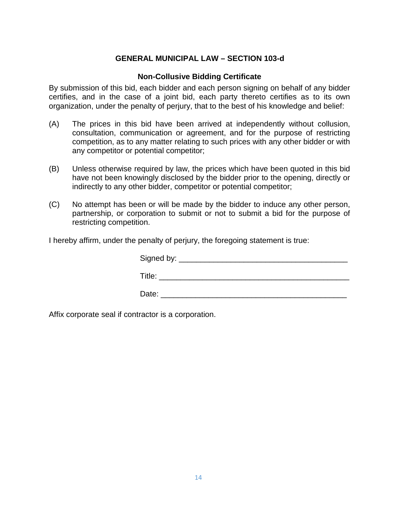# **GENERAL MUNICIPAL LAW – SECTION 103-d**

### **Non-Collusive Bidding Certificate**

By submission of this bid, each bidder and each person signing on behalf of any bidder certifies, and in the case of a joint bid, each party thereto certifies as to its own organization, under the penalty of perjury, that to the best of his knowledge and belief:

- (A) The prices in this bid have been arrived at independently without collusion, consultation, communication or agreement, and for the purpose of restricting competition, as to any matter relating to such prices with any other bidder or with any competitor or potential competitor;
- (B) Unless otherwise required by law, the prices which have been quoted in this bid have not been knowingly disclosed by the bidder prior to the opening, directly or indirectly to any other bidder, competitor or potential competitor;
- (C) No attempt has been or will be made by the bidder to induce any other person, partnership, or corporation to submit or not to submit a bid for the purpose of restricting competition.

I hereby affirm, under the penalty of perjury, the foregoing statement is true:

| Signed by: _______________ |  |  |
|----------------------------|--|--|
| Title:                     |  |  |
| Date:                      |  |  |

Affix corporate seal if contractor is a corporation.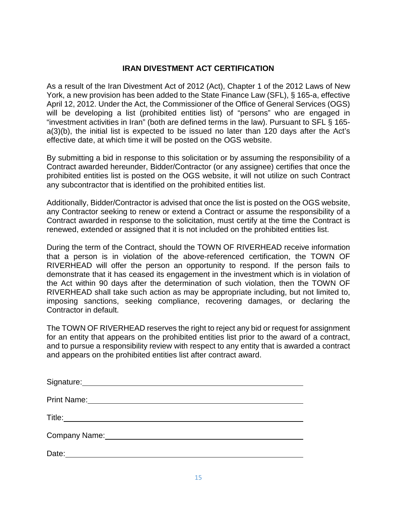# **IRAN DIVESTMENT ACT CERTIFICATION**

As a result of the Iran Divestment Act of 2012 (Act), Chapter 1 of the 2012 Laws of New York, a new provision has been added to the State Finance Law (SFL), § 165-a, effective April 12, 2012. Under the Act, the Commissioner of the Office of General Services (OGS) will be developing a list (prohibited entities list) of "persons" who are engaged in "investment activities in Iran" (both are defined terms in the law). Pursuant to SFL § 165 a(3)(b), the initial list is expected to be issued no later than 120 days after the Act's effective date, at which time it will be posted on the OGS website.

By submitting a bid in response to this solicitation or by assuming the responsibility of a Contract awarded hereunder, Bidder/Contractor (or any assignee) certifies that once the prohibited entities list is posted on the OGS website, it will not utilize on such Contract any subcontractor that is identified on the prohibited entities list.

Additionally, Bidder/Contractor is advised that once the list is posted on the OGS website, any Contractor seeking to renew or extend a Contract or assume the responsibility of a Contract awarded in response to the solicitation, must certify at the time the Contract is renewed, extended or assigned that it is not included on the prohibited entities list.

During the term of the Contract, should the TOWN OF RIVERHEAD receive information that a person is in violation of the above-referenced certification, the TOWN OF RIVERHEAD will offer the person an opportunity to respond. If the person fails to demonstrate that it has ceased its engagement in the investment which is in violation of the Act within 90 days after the determination of such violation, then the TOWN OF RIVERHEAD shall take such action as may be appropriate including, but not limited to, imposing sanctions, seeking compliance, recovering damages, or declaring the Contractor in default.

The TOWN OF RIVERHEAD reserves the right to reject any bid or request for assignment for an entity that appears on the prohibited entities list prior to the award of a contract, and to pursue a responsibility review with respect to any entity that is awarded a contract and appears on the prohibited entities list after contract award.

| Signature: Management Communications and Communications and Communications and Communications and Communications and Communications and Communications and Communications and Communications and Communications are communicat |
|--------------------------------------------------------------------------------------------------------------------------------------------------------------------------------------------------------------------------------|
| <b>Print Name:</b>                                                                                                                                                                                                             |
| Title:                                                                                                                                                                                                                         |
|                                                                                                                                                                                                                                |
| Date:                                                                                                                                                                                                                          |